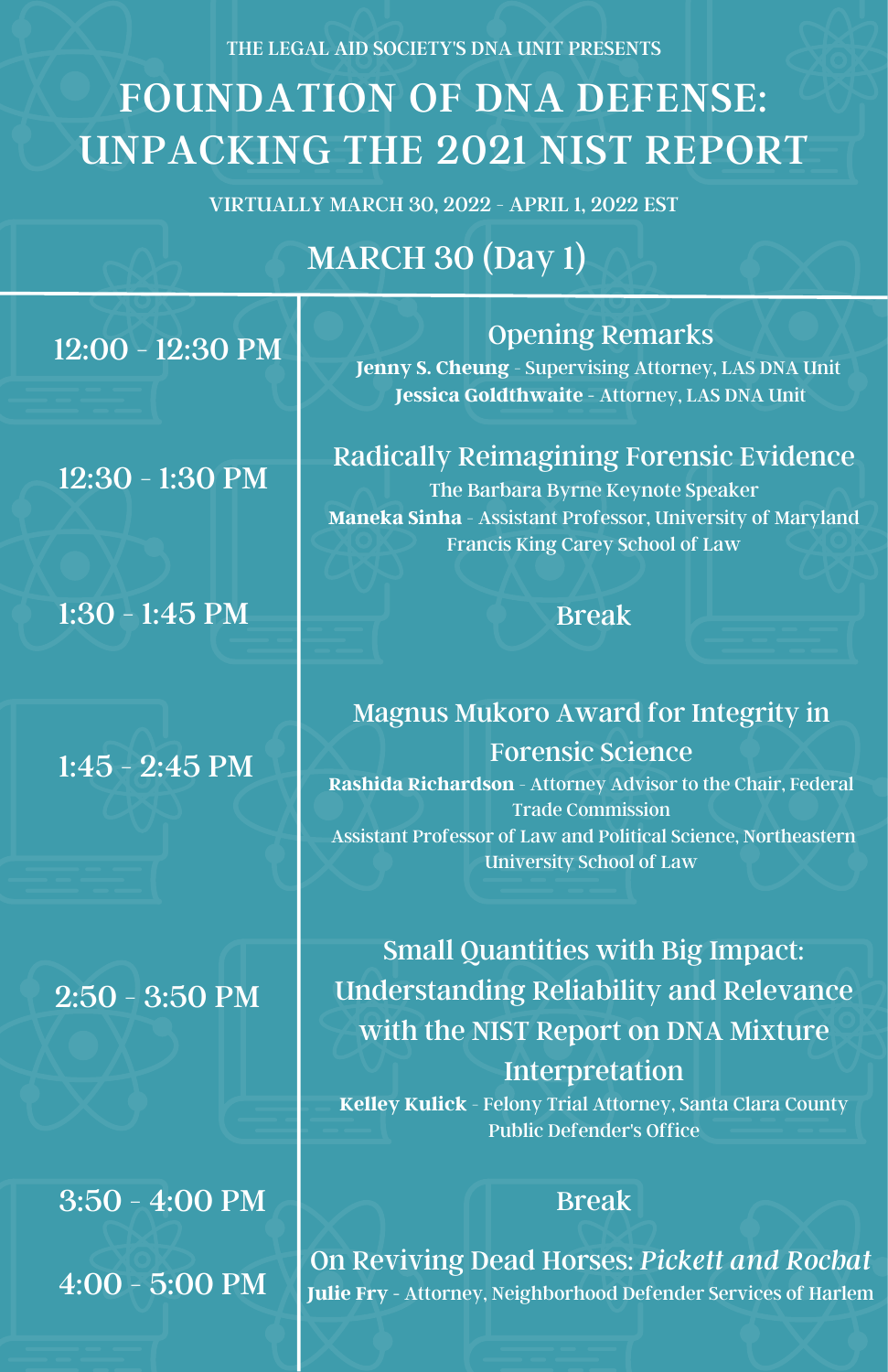THE LEGAL AID SOCIETY'S DNA UNIT PRESENTS

# FOUNDATION OF DNA DEFENSE: UNPACKING THE 2021 NIST REPORT

VIRTUALLY MARCH 30, 2022 - APRIL 1, 2022 EST

## MARCH 30 (Day 1)

12:00 - 12:30 PM

12:30 - 1:30 PM

1:30 - 1:45 PM  $\blacksquare$  Break

1:45 - 2:45 PM

2:50 - 3:50 PM

 $3:50 - 4:00 \text{ PM}$ 4:00 - 5:00 PM

### Opening Remarks

**Jenny S. Cheung** - Supervising Attorney, LAS DNA Unit **Jessica Goldthwaite -** Attorney, LAS DNA Unit

### Radically Reimagining Forensic Evidence

The Barbara Byrne Keynote Speaker **Maneka Sinha** - Assistant Professor, University of Maryland Francis King Carey School of Law

### Magnus Mukoro Award for Integrity in Forensic Science

**Rashida Richardson** - Attorney Advisor to the Chair, Federal Trade Commission Assistant Professor of Law and Political Science, Northeastern University School of Law

Small Quantities with Big Impact: Understanding Reliability and Relevance with the NIST Report on DNA Mixture Interpretation

**Kelley Kulick** - Felony Trial Attorney, Santa Clara County Public Defender's Office

On Reviving Dead Horses: *Pickett and Rochat* **Julie Fry -** Attorney, Neighborhood Defender Services of Harlem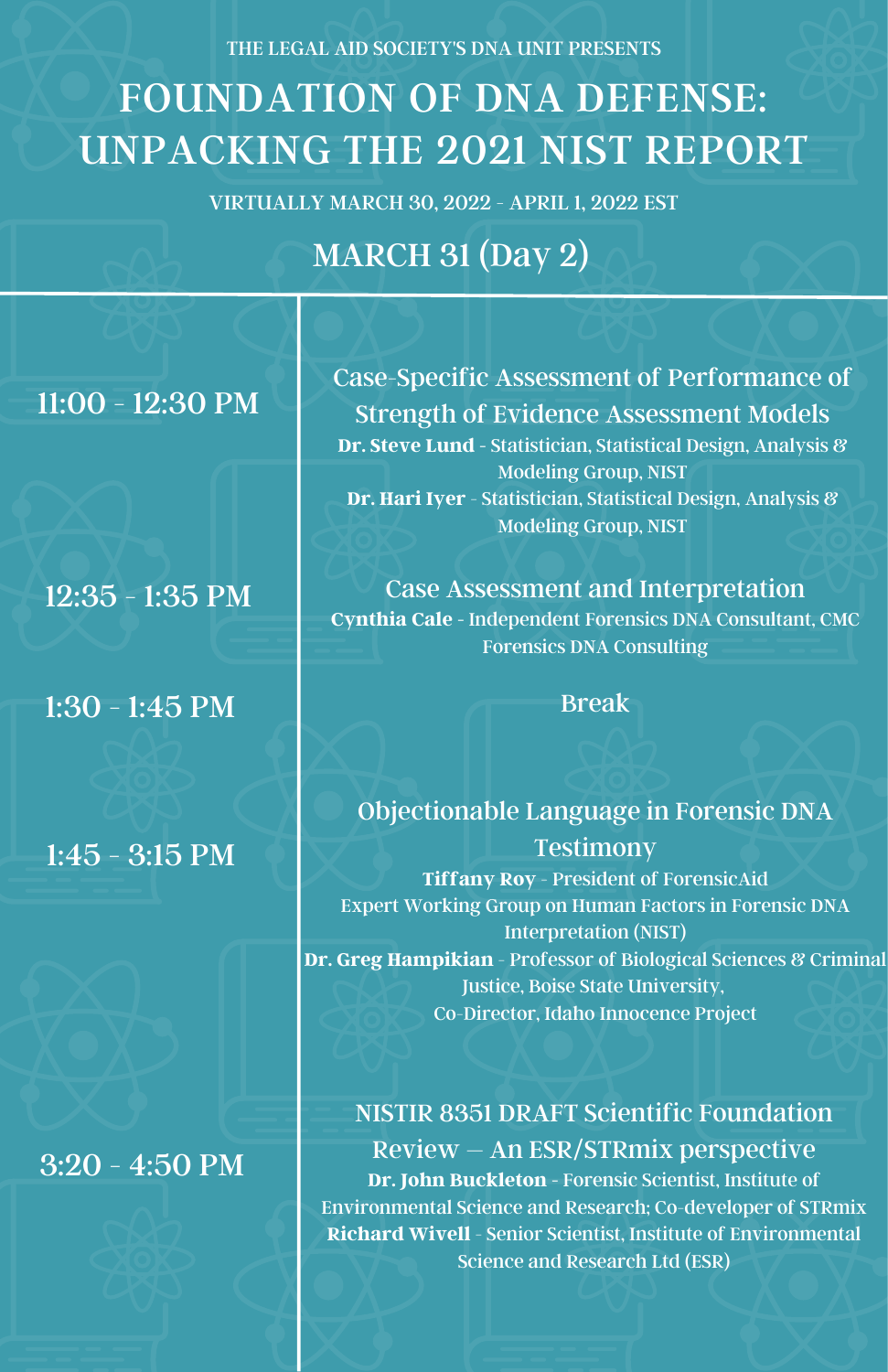THE LEGAL AID SOCIETY'S DNA UNIT PRESENTS

# FOUNDATION OF DNA DEFENSE: UNPACKING THE 2021 NIST REPORT

VIRTUALLY MARCH 30, 2022 - APRIL 1, 2022 EST

## MARCH 31 (Day 2)

11:00 - 12:30 PM

1:30 - 1:45 PM  $\blacksquare$  Break

1:45 - 3:15 PM

3:20 - 4:50 PM

Case-Specific Assessment of Performance of Strength of Evidence Assessment Models **Dr. Steve Lund -** Statistician, Statistical Design, Analysis & Modeling Group, NIST **Dr. Hari Iyer** - Statistician, Statistical Design, Analysis & Modeling Group, NIST

12:35 - 1:35 PM Case Assessment and Interpretation **Cynthia Cale -** Independent Forensics DNA Consultant, CMC Forensics DNA Consulting

Objectionable Language in Forensic DNA **Testimony Tiffany Roy** - President of ForensicAid Expert Working Group on Human Factors in Forensic DNA Interpretation (NIST) **Dr. Greg Hampikian** - Professor of Biological Sciences & Criminal Justice, Boise State University, Co-Director, Idaho Innocence Project

NISTIR 8351 DRAFT Scientific Foundation Review – An ESR/STRmix perspective **Dr. John Buckleton -** Forensic Scientist, Institute of Environmental Science and Research; Co-developer of STRmix **Richard Wivell** - Senior Scientist, Institute of Environmental Science and Research Ltd (ESR)